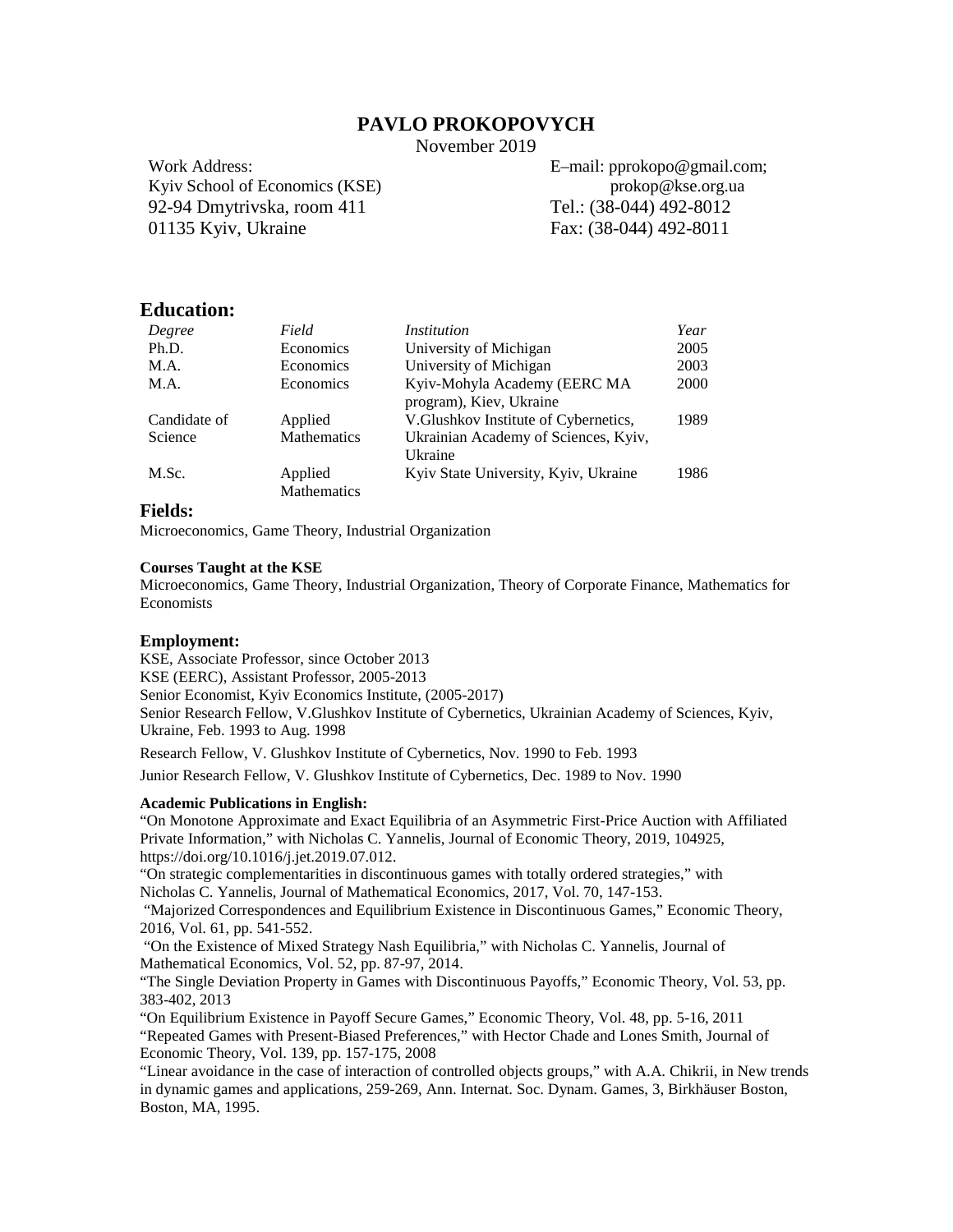# **PAVLO PROKOPOVYCH**

November 2019

Work Address: Kyiv School of Economics (KSE) 92-94 Dmytrivska, room 411 01135 Kyiv, Ukraine

E–mail: pprokopo@gmail.com; prokop@kse.org.ua Tel.: (38-044) 492-8012 Fax: (38-044) 492-8011

# **Education:**

| Degree       | Field                  | <i>Institution</i>                                      | Year |
|--------------|------------------------|---------------------------------------------------------|------|
| Ph.D.        | Economics              | University of Michigan                                  | 2005 |
| M.A.         | Economics              | University of Michigan                                  | 2003 |
| M.A.         | Economics              | Kyiv-Mohyla Academy (EERC MA<br>program), Kiev, Ukraine | 2000 |
| Candidate of | Applied                | V.Glushkov Institute of Cybernetics,                    | 1989 |
| Science      | <b>Mathematics</b>     | Ukrainian Academy of Sciences, Kyiv,<br>Ukraine         |      |
| M.Sc.        | Applied<br>Mathematics | Kyiv State University, Kyiv, Ukraine                    | 1986 |

# **Fields:**

Microeconomics, Game Theory, Industrial Organization

### **Courses Taught at the KSE**

Microeconomics, Game Theory, Industrial Organization, Theory of Corporate Finance, Mathematics for Economists

### **Employment:**

KSE, Associate Professor, since October 2013 KSE (EERC), Assistant Professor, 2005-2013 Senior Economist, Kyiv Economics Institute, (2005-2017) Senior Research Fellow, V.Glushkov Institute of Cybernetics, Ukrainian Academy of Sciences, Kyiv, Ukraine, Feb. 1993 to Aug. 1998 Research Fellow, V. Glushkov Institute of Cybernetics, Nov. 1990 to Feb. 1993

Junior Research Fellow, V. Glushkov Institute of Cybernetics, Dec. 1989 to Nov. 1990

### **Academic Publications in English:**

"On Monotone Approximate and Exact Equilibria of an Asymmetric First-Price Auction with Affiliated Private Information," with Nicholas C. Yannelis, Journal of Economic Theory, 2019, 104925, https://doi.org/10.1016/j.jet.2019.07.012.

"On strategic complementarities in discontinuous games with totally ordered strategies," with Nicholas C. Yannelis, Journal of Mathematical Economics, 2017, Vol. 70, 147-153.

"Majorized Correspondences and Equilibrium Existence in Discontinuous Games," Economic Theory, 2016, Vol. 61, pp. 541-552.

"On the Existence of Mixed Strategy Nash Equilibria," with Nicholas C. Yannelis, Journal of Mathematical Economics, Vol. 52, pp. 87-97, 2014.

"The Single Deviation Property in Games with Discontinuous Payoffs," Economic Theory, Vol. 53, pp. 383-402, 2013

"On Equilibrium Existence in Payoff Secure Games," Economic Theory, Vol. 48, pp. 5-16, 2011 "Repeated Games with Present-Biased Preferences," with Hector Chade and Lones Smith, Journal of Economic Theory, Vol. 139, pp. 157-175, 2008

"Linear avoidance in the case of interaction of controlled objects groups," with A.A. Chikrii, in New trends in dynamic games and applications, 259-269, Ann. Internat. Soc. Dynam. Games, 3, Birkhäuser Boston, Boston, MA, 1995.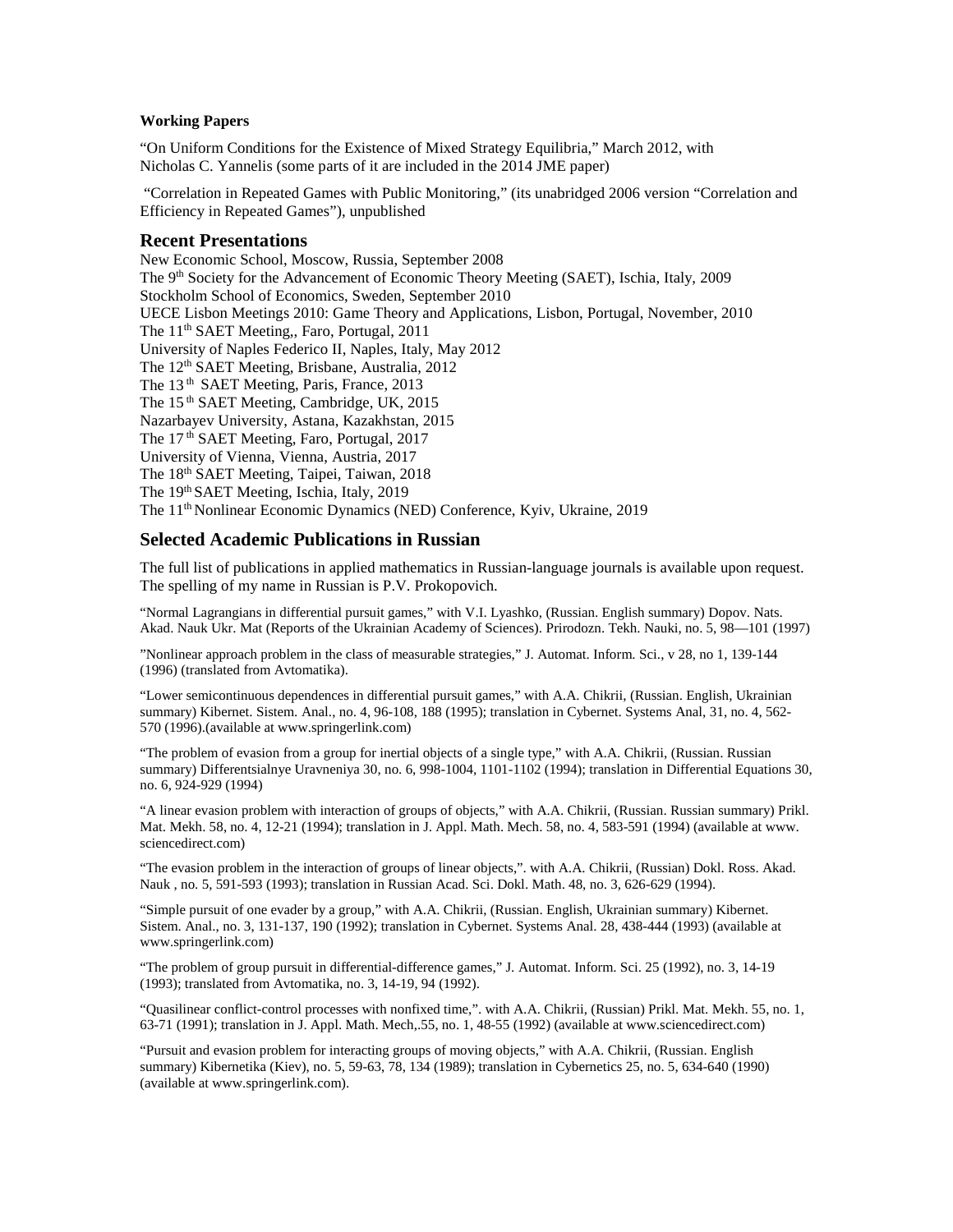## **Working Papers**

"On Uniform Conditions for the Existence of Mixed Strategy Equilibria," March 2012, with Nicholas C. Yannelis (some parts of it are included in the 2014 JME paper)

"Correlation in Repeated Games with Public Monitoring," (its unabridged 2006 version "Correlation and Efficiency in Repeated Games"), unpublished

### **Recent Presentations**

New Economic School, Moscow, Russia, September 2008 The 9<sup>th</sup> Society for the Advancement of Economic Theory Meeting (SAET), Ischia, Italy, 2009 Stockholm School of Economics, Sweden, September 2010 UECE Lisbon Meetings 2010: Game Theory and Applications, Lisbon, Portugal, November, 2010 The 11<sup>th</sup> SAET Meeting,, Faro, Portugal, 2011 University of Naples Federico II, Naples, Italy, May 2012 The 12<sup>th</sup> SAET Meeting, Brisbane, Australia, 2012 The 13<sup>th</sup> SAET Meeting, Paris, France, 2013 The 15<sup>th</sup> SAET Meeting, Cambridge, UK, 2015 Nazarbayev University, Astana, Kazakhstan, 2015 The 17<sup>th</sup> SAET Meeting, Faro, Portugal, 2017 University of Vienna, Vienna, Austria, 2017 The 18th SAET Meeting, Taipei, Taiwan, 2018 The 19th SAET Meeting, Ischia, Italy, 2019 The 11th Nonlinear Economic Dynamics (NED) Conference, Kyiv, Ukraine, 2019

## **Selected Academic Publications in Russian**

The full list of publications in applied mathematics in Russian-language journals is available upon request. The spelling of my name in Russian is P.V. Prokopovich.

"Normal Lagrangians in differential pursuit games," with V.I. Lyashko, (Russian. English summary) Dopov. Nats. Akad. Nauk Ukr. Mat (Reports of the Ukrainian Academy of Sciences). Prirodozn. Tekh. Nauki, no. 5, 98—101 (1997)

"Nonlinear approach problem in the class of measurable strategies," J. Automat. Inform. Sci., v 28, no 1, 139-144 (1996) (translated from Avtomatika).

"Lower semicontinuous dependences in differential pursuit games," with A.A. Chikrii, (Russian. English, Ukrainian summary) Kibernet. Sistem. Anal., no. 4, 96-108, 188 (1995); translation in Cybernet. Systems Anal, 31, no. 4, 562- 570 (1996).(available at www.springerlink.com)

"The problem of evasion from a group for inertial objects of a single type," with A.A. Chikrii, (Russian. Russian summary) Differentsialnye Uravneniya 30, no. 6, 998-1004, 1101-1102 (1994); translation in Differential Equations 30, no. 6, 924-929 (1994)

"A linear evasion problem with interaction of groups of objects," with A.A. Chikrii, (Russian. Russian summary) Prikl. Mat. Mekh. 58, no. 4, 12-21 (1994); translation in J. Appl. Math. Mech. 58, no. 4, 583-591 (1994) (available at www. sciencedirect.com)

"The evasion problem in the interaction of groups of linear objects,". with A.A. Chikrii, (Russian) Dokl. Ross. Akad. Nauk , no. 5, 591-593 (1993); translation in Russian Acad. Sci. Dokl. Math. 48, no. 3, 626-629 (1994).

"Simple pursuit of one evader by a group," with A.A. Chikrii, (Russian. English, Ukrainian summary) Kibernet. Sistem. Anal., no. 3, 131-137, 190 (1992); translation in Cybernet. Systems Anal. 28, 438-444 (1993) (available at www.springerlink.com)

"The problem of group pursuit in differential-difference games," J. Automat. Inform. Sci. 25 (1992), no. 3, 14-19 (1993); translated from Avtomatika, no. 3, 14-19, 94 (1992).

"Quasilinear conflict-control processes with nonfixed time,". with A.A. Chikrii, (Russian) Prikl. Mat. Mekh. 55, no. 1, 63-71 (1991); translation in J. Appl. Math. Mech,.55, no. 1, 48-55 (1992) (available at www.sciencedirect.com)

"Pursuit and evasion problem for interacting groups of moving objects," with A.A. Chikrii, (Russian. English summary) Kibernetika (Kiev), no. 5, 59-63, 78, 134 (1989); translation in Cybernetics 25, no. 5, 634-640 (1990) (available at www.springerlink.com).